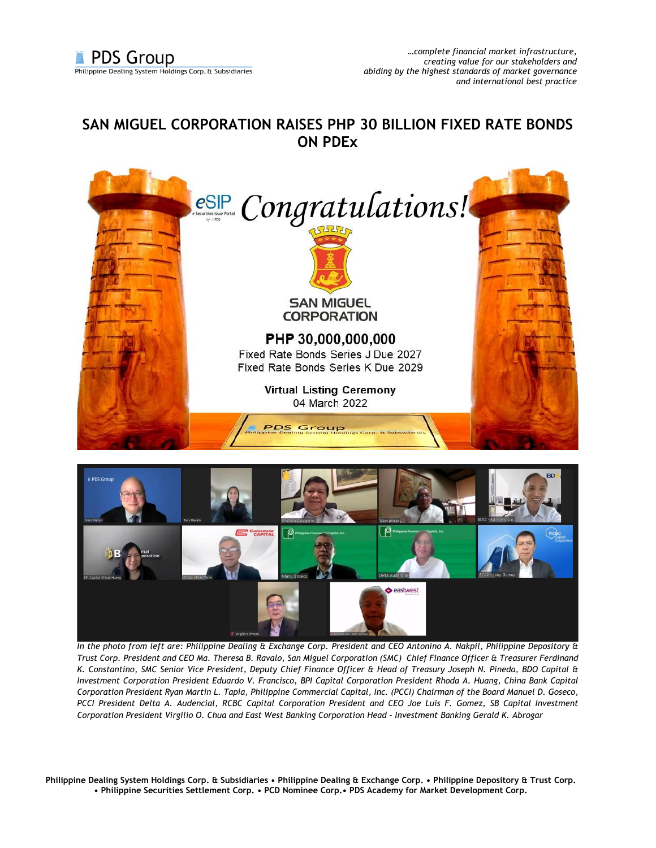## **SAN MIGUEL CORPORATION RAISES PHP 30 BILLION FIXED RATE BONDS ON PDEx**





*In the photo from left are: Philippine Dealing & Exchange Corp. President and CEO Antonino A. Nakpil, Philippine Depository & Trust Corp. President and CEO Ma. Theresa B. Ravalo, San Miguel Corporation (SMC) Chief Finance Officer & Treasurer Ferdinand K. Constantino, SMC Senior Vice President, Deputy Chief Finance Officer & Head of Treasury Joseph N. Pineda, BDO Capital & Investment Corporation President Eduardo V. Francisco, BPI Capital Corporation President Rhoda A. Huang, China Bank Capital Corporation President Ryan Martin L. Tapia, Philippine Commercial Capital, Inc. (PCCI) Chairman of the Board Manuel D. Goseco, PCCI President Delta A. Audencial, RCBC Capital Corporation President and CEO Joe Luis F. Gomez, SB Capital Investment Corporation President Virgilio O. Chua and East West Banking Corporation Head - Investment Banking Gerald K. Abrogar*

**Philippine Dealing System Holdings Corp. & Subsidiaries • Philippine Dealing & Exchange Corp. • Philippine Depository & Trust Corp. • Philippine Securities Settlement Corp. • PCD Nominee Corp.• PDS Academy for Market Development Corp.**